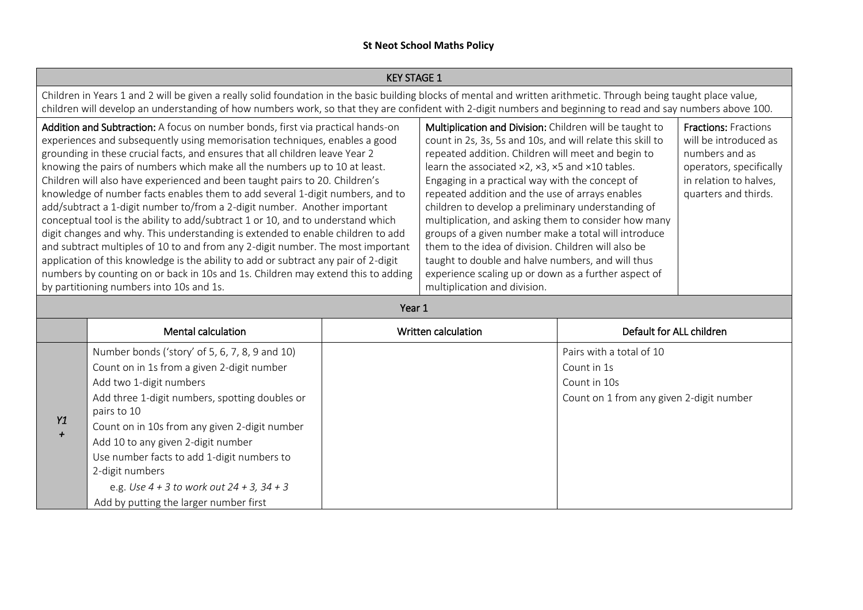|                                                                                                                                                                                                                                                                                                                                                                                                                                                                                                                                                                                                                                                                                                                                                                                                                                                                                                                                                                                                                                                          | <b>KEY STAGE 1</b>                                                                                                                                                                                                                                                                                                                                                                                                                             |                                                                                                                                                                                                                                                                                                                                                                                                                                                                                                                                                                                                                                                                                                                                                                                                                                                                                                         |                     |                                                                                                     |  |
|----------------------------------------------------------------------------------------------------------------------------------------------------------------------------------------------------------------------------------------------------------------------------------------------------------------------------------------------------------------------------------------------------------------------------------------------------------------------------------------------------------------------------------------------------------------------------------------------------------------------------------------------------------------------------------------------------------------------------------------------------------------------------------------------------------------------------------------------------------------------------------------------------------------------------------------------------------------------------------------------------------------------------------------------------------|------------------------------------------------------------------------------------------------------------------------------------------------------------------------------------------------------------------------------------------------------------------------------------------------------------------------------------------------------------------------------------------------------------------------------------------------|---------------------------------------------------------------------------------------------------------------------------------------------------------------------------------------------------------------------------------------------------------------------------------------------------------------------------------------------------------------------------------------------------------------------------------------------------------------------------------------------------------------------------------------------------------------------------------------------------------------------------------------------------------------------------------------------------------------------------------------------------------------------------------------------------------------------------------------------------------------------------------------------------------|---------------------|-----------------------------------------------------------------------------------------------------|--|
|                                                                                                                                                                                                                                                                                                                                                                                                                                                                                                                                                                                                                                                                                                                                                                                                                                                                                                                                                                                                                                                          | Children in Years 1 and 2 will be given a really solid foundation in the basic building blocks of mental and written arithmetic. Through being taught place value,<br>children will develop an understanding of how numbers work, so that they are confident with 2-digit numbers and beginning to read and say numbers above 100.                                                                                                             |                                                                                                                                                                                                                                                                                                                                                                                                                                                                                                                                                                                                                                                                                                                                                                                                                                                                                                         |                     |                                                                                                     |  |
| Addition and Subtraction: A focus on number bonds, first via practical hands-on<br>experiences and subsequently using memorisation techniques, enables a good<br>grounding in these crucial facts, and ensures that all children leave Year 2<br>knowing the pairs of numbers which make all the numbers up to 10 at least.<br>Children will also have experienced and been taught pairs to 20. Children's<br>knowledge of number facts enables them to add several 1-digit numbers, and to<br>add/subtract a 1-digit number to/from a 2-digit number. Another important<br>conceptual tool is the ability to add/subtract 1 or 10, and to understand which<br>digit changes and why. This understanding is extended to enable children to add<br>and subtract multiples of 10 to and from any 2-digit number. The most important<br>application of this knowledge is the ability to add or subtract any pair of 2-digit<br>numbers by counting on or back in 10s and 1s. Children may extend this to adding<br>by partitioning numbers into 10s and 1s. |                                                                                                                                                                                                                                                                                                                                                                                                                                                | Multiplication and Division: Children will be taught to<br><b>Fractions: Fractions</b><br>will be introduced as<br>count in 2s, 3s, 5s and 10s, and will relate this skill to<br>repeated addition. Children will meet and begin to<br>numbers and as<br>learn the associated $\times 2$ , $\times 3$ , $\times 5$ and $\times 10$ tables.<br>operators, specifically<br>Engaging in a practical way with the concept of<br>in relation to halves,<br>repeated addition and the use of arrays enables<br>quarters and thirds.<br>children to develop a preliminary understanding of<br>multiplication, and asking them to consider how many<br>groups of a given number make a total will introduce<br>them to the idea of division. Children will also be<br>taught to double and halve numbers, and will thus<br>experience scaling up or down as a further aspect of<br>multiplication and division. |                     |                                                                                                     |  |
|                                                                                                                                                                                                                                                                                                                                                                                                                                                                                                                                                                                                                                                                                                                                                                                                                                                                                                                                                                                                                                                          |                                                                                                                                                                                                                                                                                                                                                                                                                                                | Year 1                                                                                                                                                                                                                                                                                                                                                                                                                                                                                                                                                                                                                                                                                                                                                                                                                                                                                                  |                     |                                                                                                     |  |
|                                                                                                                                                                                                                                                                                                                                                                                                                                                                                                                                                                                                                                                                                                                                                                                                                                                                                                                                                                                                                                                          | Mental calculation                                                                                                                                                                                                                                                                                                                                                                                                                             |                                                                                                                                                                                                                                                                                                                                                                                                                                                                                                                                                                                                                                                                                                                                                                                                                                                                                                         | Written calculation | Default for ALL children                                                                            |  |
| Y1<br>$\ddot{}$                                                                                                                                                                                                                                                                                                                                                                                                                                                                                                                                                                                                                                                                                                                                                                                                                                                                                                                                                                                                                                          | Number bonds ('story' of 5, 6, 7, 8, 9 and 10)<br>Count on in 1s from a given 2-digit number<br>Add two 1-digit numbers<br>Add three 1-digit numbers, spotting doubles or<br>pairs to 10<br>Count on in 10s from any given 2-digit number<br>Add 10 to any given 2-digit number<br>Use number facts to add 1-digit numbers to<br>2-digit numbers<br>e.g. Use $4 + 3$ to work out $24 + 3$ , $34 + 3$<br>Add by putting the larger number first |                                                                                                                                                                                                                                                                                                                                                                                                                                                                                                                                                                                                                                                                                                                                                                                                                                                                                                         |                     | Pairs with a total of 10<br>Count in 1s<br>Count in 10s<br>Count on 1 from any given 2-digit number |  |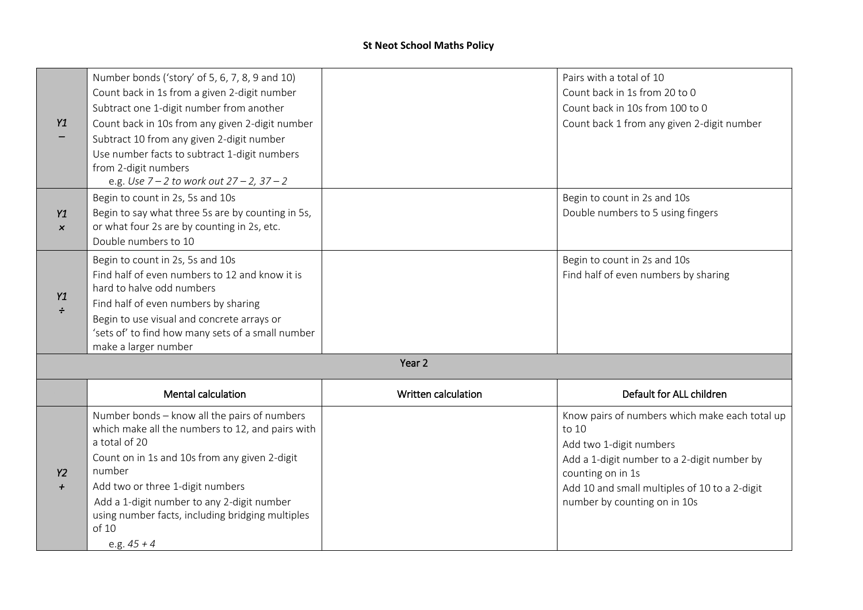|                       | Number bonds ('story' of 5, 6, 7, 8, 9 and 10)                                        |                     | Pairs with a total of 10                                          |
|-----------------------|---------------------------------------------------------------------------------------|---------------------|-------------------------------------------------------------------|
|                       | Count back in 1s from a given 2-digit number                                          |                     | Count back in 1s from 20 to 0                                     |
|                       | Subtract one 1-digit number from another                                              |                     | Count back in 10s from 100 to 0                                   |
| Y1                    | Count back in 10s from any given 2-digit number                                       |                     | Count back 1 from any given 2-digit number                        |
|                       | Subtract 10 from any given 2-digit number                                             |                     |                                                                   |
|                       | Use number facts to subtract 1-digit numbers                                          |                     |                                                                   |
|                       | from 2-digit numbers                                                                  |                     |                                                                   |
|                       | e.g. Use $7 - 2$ to work out $27 - 2$ , $37 - 2$                                      |                     |                                                                   |
| Y1                    | Begin to count in 2s, 5s and 10s<br>Begin to say what three 5s are by counting in 5s, |                     | Begin to count in 2s and 10s<br>Double numbers to 5 using fingers |
| $\boldsymbol{\times}$ | or what four 2s are by counting in 2s, etc.                                           |                     |                                                                   |
|                       | Double numbers to 10                                                                  |                     |                                                                   |
|                       | Begin to count in 2s, 5s and 10s                                                      |                     | Begin to count in 2s and 10s                                      |
|                       | Find half of even numbers to 12 and know it is                                        |                     | Find half of even numbers by sharing                              |
|                       | hard to halve odd numbers                                                             |                     |                                                                   |
| Y1<br>$\div$          | Find half of even numbers by sharing                                                  |                     |                                                                   |
|                       | Begin to use visual and concrete arrays or                                            |                     |                                                                   |
|                       | 'sets of' to find how many sets of a small number                                     |                     |                                                                   |
|                       | make a larger number                                                                  |                     |                                                                   |
|                       |                                                                                       | Year <sub>2</sub>   |                                                                   |
|                       | <b>Mental calculation</b>                                                             | Written calculation | Default for ALL children                                          |
|                       | Number bonds - know all the pairs of numbers                                          |                     | Know pairs of numbers which make each total up                    |
|                       | which make all the numbers to 12, and pairs with                                      |                     | to 10                                                             |
|                       | a total of 20                                                                         |                     | Add two 1-digit numbers                                           |
| <b>Y2</b>             | Count on in 1s and 10s from any given 2-digit<br>number                               |                     | Add a 1-digit number to a 2-digit number by<br>counting on in 1s  |
| $\boldsymbol{+}$      | Add two or three 1-digit numbers                                                      |                     | Add 10 and small multiples of 10 to a 2-digit                     |
|                       | Add a 1-digit number to any 2-digit number                                            |                     | number by counting on in 10s                                      |
|                       | using number facts, including bridging multiples                                      |                     |                                                                   |
|                       | of 10                                                                                 |                     |                                                                   |
|                       | e.g. $45 + 4$                                                                         |                     |                                                                   |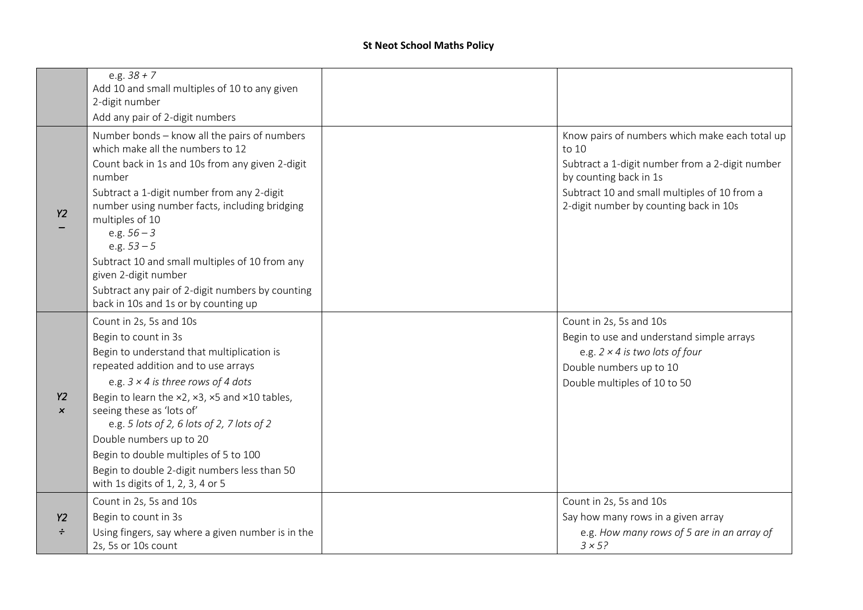|                                        | e.g. $38 + 7$<br>Add 10 and small multiples of 10 to any given                                                                                                                                                                                                                                                                                                                                                                                                          |                                                                                                                                                                                                                                |
|----------------------------------------|-------------------------------------------------------------------------------------------------------------------------------------------------------------------------------------------------------------------------------------------------------------------------------------------------------------------------------------------------------------------------------------------------------------------------------------------------------------------------|--------------------------------------------------------------------------------------------------------------------------------------------------------------------------------------------------------------------------------|
|                                        | 2-digit number                                                                                                                                                                                                                                                                                                                                                                                                                                                          |                                                                                                                                                                                                                                |
|                                        | Add any pair of 2-digit numbers                                                                                                                                                                                                                                                                                                                                                                                                                                         |                                                                                                                                                                                                                                |
| <b>Y2</b>                              | Number bonds - know all the pairs of numbers<br>which make all the numbers to 12<br>Count back in 1s and 10s from any given 2-digit<br>number<br>Subtract a 1-digit number from any 2-digit<br>number using number facts, including bridging<br>multiples of 10<br>e.g. $56 - 3$<br>e.g. $53 - 5$<br>Subtract 10 and small multiples of 10 from any<br>given 2-digit number<br>Subtract any pair of 2-digit numbers by counting<br>back in 10s and 1s or by counting up | Know pairs of numbers which make each total up<br>to 10<br>Subtract a 1-digit number from a 2-digit number<br>by counting back in 1s<br>Subtract 10 and small multiples of 10 from a<br>2-digit number by counting back in 10s |
| <b>Y2</b><br>$\boldsymbol{\mathsf{x}}$ | Count in 2s, 5s and 10s<br>Begin to count in 3s<br>Begin to understand that multiplication is<br>repeated addition and to use arrays<br>e.g. $3 \times 4$ is three rows of 4 dots<br>Begin to learn the x2, x3, x5 and x10 tables,<br>seeing these as 'lots of'<br>e.g. 5 lots of 2, 6 lots of 2, 7 lots of 2<br>Double numbers up to 20<br>Begin to double multiples of 5 to 100<br>Begin to double 2-digit numbers less than 50<br>with 1s digits of 1, 2, 3, 4 or 5  | Count in 2s, 5s and 10s<br>Begin to use and understand simple arrays<br>e.g. $2 \times 4$ is two lots of four<br>Double numbers up to 10<br>Double multiples of 10 to 50                                                       |
| Y2<br>÷                                | Count in 2s, 5s and 10s<br>Begin to count in 3s<br>Using fingers, say where a given number is in the<br>2s, 5s or 10s count                                                                                                                                                                                                                                                                                                                                             | Count in 2s, 5s and 10s<br>Say how many rows in a given array<br>e.g. How many rows of 5 are in an array of<br>$3 \times 5?$                                                                                                   |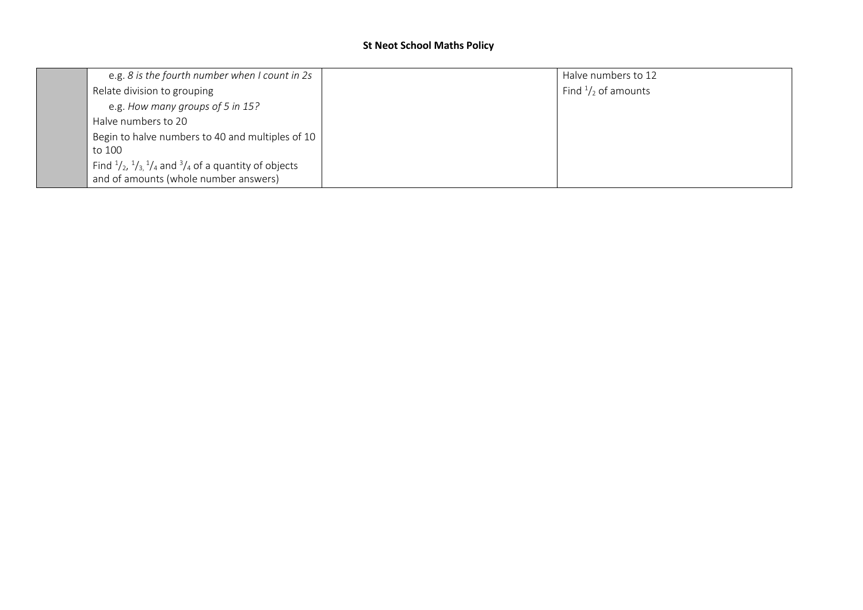| e.g. 8 is the fourth number when I count in 2s                                                | Halve numbers to 12           |
|-----------------------------------------------------------------------------------------------|-------------------------------|
| Relate division to grouping                                                                   | Find $\frac{1}{2}$ of amounts |
| e.g. How many groups of 5 in 15?                                                              |                               |
| Halve numbers to 20                                                                           |                               |
| Begin to halve numbers to 40 and multiples of 10                                              |                               |
| to 100                                                                                        |                               |
| Find $\frac{1}{2}$ , $\frac{1}{3}$ , $\frac{1}{4}$ and $\frac{3}{4}$ of a quantity of objects |                               |
| and of amounts (whole number answers)                                                         |                               |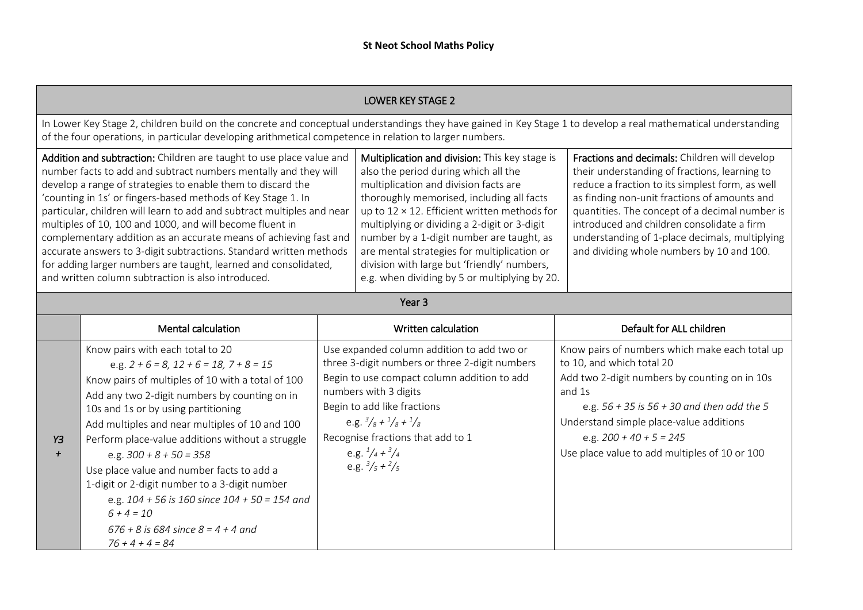|                                                                                                                                                                                                                                                                                                                                                                                                                                                                                                                                                                                                                                                                                  |                                                                                                                                                                                                                                                                                                                                                                                                                                                                                                                                                                                                       | <b>LOWER KEY STAGE 2</b>                                                                                                                                                                                                                                                                                                                                                                                                                                                         |                                                                                                                                                                                                                                                                                                                                                                                                  |
|----------------------------------------------------------------------------------------------------------------------------------------------------------------------------------------------------------------------------------------------------------------------------------------------------------------------------------------------------------------------------------------------------------------------------------------------------------------------------------------------------------------------------------------------------------------------------------------------------------------------------------------------------------------------------------|-------------------------------------------------------------------------------------------------------------------------------------------------------------------------------------------------------------------------------------------------------------------------------------------------------------------------------------------------------------------------------------------------------------------------------------------------------------------------------------------------------------------------------------------------------------------------------------------------------|----------------------------------------------------------------------------------------------------------------------------------------------------------------------------------------------------------------------------------------------------------------------------------------------------------------------------------------------------------------------------------------------------------------------------------------------------------------------------------|--------------------------------------------------------------------------------------------------------------------------------------------------------------------------------------------------------------------------------------------------------------------------------------------------------------------------------------------------------------------------------------------------|
|                                                                                                                                                                                                                                                                                                                                                                                                                                                                                                                                                                                                                                                                                  | In Lower Key Stage 2, children build on the concrete and conceptual understandings they have gained in Key Stage 1 to develop a real mathematical understanding<br>of the four operations, in particular developing arithmetical competence in relation to larger numbers.                                                                                                                                                                                                                                                                                                                            |                                                                                                                                                                                                                                                                                                                                                                                                                                                                                  |                                                                                                                                                                                                                                                                                                                                                                                                  |
| Addition and subtraction: Children are taught to use place value and<br>number facts to add and subtract numbers mentally and they will<br>develop a range of strategies to enable them to discard the<br>'counting in 1s' or fingers-based methods of Key Stage 1. In<br>particular, children will learn to add and subtract multiples and near<br>multiples of 10, 100 and 1000, and will become fluent in<br>complementary addition as an accurate means of achieving fast and<br>accurate answers to 3-digit subtractions. Standard written methods<br>for adding larger numbers are taught, learned and consolidated,<br>and written column subtraction is also introduced. |                                                                                                                                                                                                                                                                                                                                                                                                                                                                                                                                                                                                       | Multiplication and division: This key stage is<br>also the period during which all the<br>multiplication and division facts are<br>thoroughly memorised, including all facts<br>up to $12 \times 12$ . Efficient written methods for<br>multiplying or dividing a 2-digit or 3-digit<br>number by a 1-digit number are taught, as<br>are mental strategies for multiplication or<br>division with large but 'friendly' numbers,<br>e.g. when dividing by 5 or multiplying by 20. | Fractions and decimals: Children will develop<br>their understanding of fractions, learning to<br>reduce a fraction to its simplest form, as well<br>as finding non-unit fractions of amounts and<br>quantities. The concept of a decimal number is<br>introduced and children consolidate a firm<br>understanding of 1-place decimals, multiplying<br>and dividing whole numbers by 10 and 100. |
|                                                                                                                                                                                                                                                                                                                                                                                                                                                                                                                                                                                                                                                                                  |                                                                                                                                                                                                                                                                                                                                                                                                                                                                                                                                                                                                       | Year <sub>3</sub>                                                                                                                                                                                                                                                                                                                                                                                                                                                                |                                                                                                                                                                                                                                                                                                                                                                                                  |
|                                                                                                                                                                                                                                                                                                                                                                                                                                                                                                                                                                                                                                                                                  | <b>Mental calculation</b>                                                                                                                                                                                                                                                                                                                                                                                                                                                                                                                                                                             | Written calculation                                                                                                                                                                                                                                                                                                                                                                                                                                                              | Default for ALL children                                                                                                                                                                                                                                                                                                                                                                         |
| Y3                                                                                                                                                                                                                                                                                                                                                                                                                                                                                                                                                                                                                                                                               | Know pairs with each total to 20<br>e.g. $2 + 6 = 8$ , $12 + 6 = 18$ , $7 + 8 = 15$<br>Know pairs of multiples of 10 with a total of 100<br>Add any two 2-digit numbers by counting on in<br>10s and 1s or by using partitioning<br>Add multiples and near multiples of 10 and 100<br>Perform place-value additions without a struggle<br>e.g. $300 + 8 + 50 = 358$<br>Use place value and number facts to add a<br>1-digit or 2-digit number to a 3-digit number<br>e.g. $104 + 56$ is 160 since $104 + 50 = 154$ and<br>$6 + 4 = 10$<br>$676 + 8$ is 684 since $8 = 4 + 4$ and<br>$76 + 4 + 4 = 84$ | Use expanded column addition to add two or<br>three 3-digit numbers or three 2-digit numbers<br>Begin to use compact column addition to add<br>numbers with 3 digits<br>Begin to add like fractions<br>e.g. $\frac{3}{8} + \frac{1}{8} + \frac{1}{8}$<br>Recognise fractions that add to 1<br>e.g. $\frac{1}{4} + \frac{3}{4}$<br>e.g. $\frac{3}{5} + \frac{2}{5}$                                                                                                               | Know pairs of numbers which make each total up<br>to 10, and which total 20<br>Add two 2-digit numbers by counting on in 10s<br>and 1s<br>e.g. $56 + 35$ is $56 + 30$ and then add the 5<br>Understand simple place-value additions<br>e.g. $200 + 40 + 5 = 245$<br>Use place value to add multiples of 10 or 100                                                                                |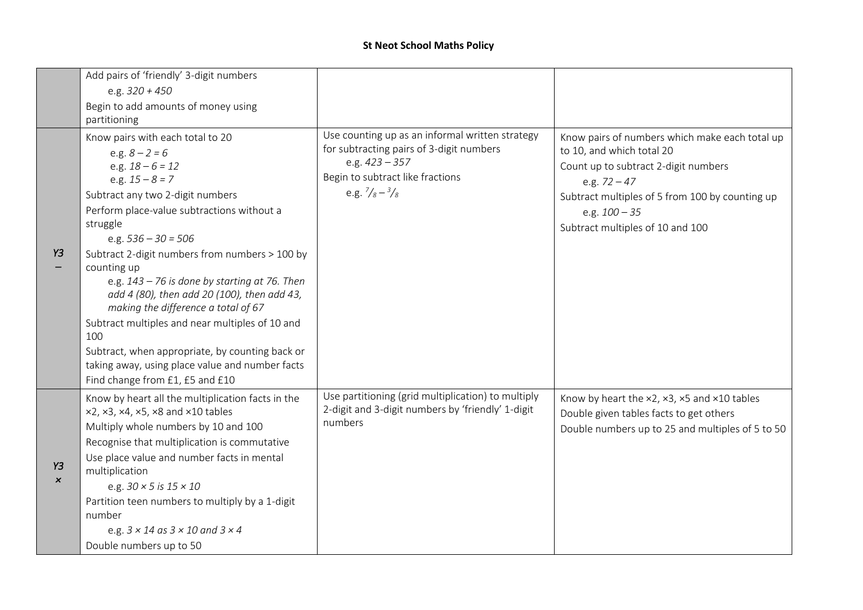|                                 | Add pairs of 'friendly' 3-digit numbers                                                                                                                                                                                                                                                                                                                                                                                                                                                                                                                                                                                             |                                                                                                                                                                                         |                                                                                                                                                                                                                                                 |
|---------------------------------|-------------------------------------------------------------------------------------------------------------------------------------------------------------------------------------------------------------------------------------------------------------------------------------------------------------------------------------------------------------------------------------------------------------------------------------------------------------------------------------------------------------------------------------------------------------------------------------------------------------------------------------|-----------------------------------------------------------------------------------------------------------------------------------------------------------------------------------------|-------------------------------------------------------------------------------------------------------------------------------------------------------------------------------------------------------------------------------------------------|
|                                 | e.g. $320 + 450$                                                                                                                                                                                                                                                                                                                                                                                                                                                                                                                                                                                                                    |                                                                                                                                                                                         |                                                                                                                                                                                                                                                 |
|                                 | Begin to add amounts of money using<br>partitioning                                                                                                                                                                                                                                                                                                                                                                                                                                                                                                                                                                                 |                                                                                                                                                                                         |                                                                                                                                                                                                                                                 |
| Y3                              | Know pairs with each total to 20<br>e.g. $8 - 2 = 6$<br>e.g. $18 - 6 = 12$<br>e.g. $15 - 8 = 7$<br>Subtract any two 2-digit numbers<br>Perform place-value subtractions without a<br>struggle<br>e.g. $536 - 30 = 506$<br>Subtract 2-digit numbers from numbers > 100 by<br>counting up<br>e.g. $143 - 76$ is done by starting at 76. Then<br>add 4 (80), then add 20 (100), then add 43,<br>making the difference a total of 67<br>Subtract multiples and near multiples of 10 and<br>100<br>Subtract, when appropriate, by counting back or<br>taking away, using place value and number facts<br>Find change from £1, £5 and £10 | Use counting up as an informal written strategy<br>for subtracting pairs of 3-digit numbers<br>e.g. $423 - 357$<br>Begin to subtract like fractions<br>e.g. $\frac{7}{8} - \frac{3}{8}$ | Know pairs of numbers which make each total up<br>to 10, and which total 20<br>Count up to subtract 2-digit numbers<br>e.g. $72 - 47$<br>Subtract multiples of 5 from 100 by counting up<br>e.g. $100 - 35$<br>Subtract multiples of 10 and 100 |
| Y3<br>$\boldsymbol{\mathsf{x}}$ | Know by heart all the multiplication facts in the<br>x2, x3, x4, x5, x8 and x10 tables<br>Multiply whole numbers by 10 and 100<br>Recognise that multiplication is commutative<br>Use place value and number facts in mental<br>multiplication<br>e.g. $30 \times 5$ is $15 \times 10$<br>Partition teen numbers to multiply by a 1-digit<br>number<br>e.g. $3 \times 14$ as $3 \times 10$ and $3 \times 4$<br>Double numbers up to 50                                                                                                                                                                                              | Use partitioning (grid multiplication) to multiply<br>2-digit and 3-digit numbers by 'friendly' 1-digit<br>numbers                                                                      | Know by heart the x2, x3, x5 and x10 tables<br>Double given tables facts to get others<br>Double numbers up to 25 and multiples of 5 to 50                                                                                                      |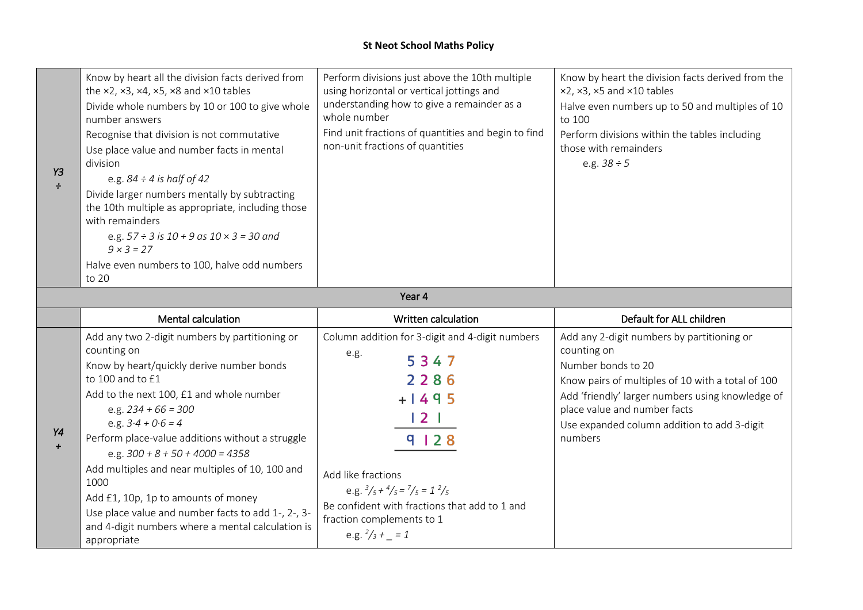| Y3<br>$\div$ | Know by heart all the division facts derived from<br>the $\times$ 2, $\times$ 3, $\times$ 4, $\times$ 5, $\times$ 8 and $\times$ 10 tables<br>Divide whole numbers by 10 or 100 to give whole<br>number answers<br>Recognise that division is not commutative<br>Use place value and number facts in mental<br>division<br>e.g. $84 \div 4$ is half of 42<br>Divide larger numbers mentally by subtracting<br>the 10th multiple as appropriate, including those<br>with remainders<br>e.g. $57 \div 3$ is $10 + 9$ as $10 \times 3 = 30$ and<br>$9 \times 3 = 27$<br>Halve even numbers to 100, halve odd numbers<br>to 20 | Perform divisions just above the 10th multiple<br>using horizontal or vertical jottings and<br>understanding how to give a remainder as a<br>whole number<br>Find unit fractions of quantities and begin to find<br>non-unit fractions of quantities | Know by heart the division facts derived from the<br>$x2, x3, x5$ and $x10$ tables<br>Halve even numbers up to 50 and multiples of 10<br>to 100<br>Perform divisions within the tables including<br>those with remainders<br>e.g. $38 \div 5$ |
|--------------|----------------------------------------------------------------------------------------------------------------------------------------------------------------------------------------------------------------------------------------------------------------------------------------------------------------------------------------------------------------------------------------------------------------------------------------------------------------------------------------------------------------------------------------------------------------------------------------------------------------------------|------------------------------------------------------------------------------------------------------------------------------------------------------------------------------------------------------------------------------------------------------|-----------------------------------------------------------------------------------------------------------------------------------------------------------------------------------------------------------------------------------------------|
|--------------|----------------------------------------------------------------------------------------------------------------------------------------------------------------------------------------------------------------------------------------------------------------------------------------------------------------------------------------------------------------------------------------------------------------------------------------------------------------------------------------------------------------------------------------------------------------------------------------------------------------------------|------------------------------------------------------------------------------------------------------------------------------------------------------------------------------------------------------------------------------------------------------|-----------------------------------------------------------------------------------------------------------------------------------------------------------------------------------------------------------------------------------------------|

#### Year 4

|    | Mental calculation                                                                                                                                                                                                                                                                                                                                                                                                                                                                                                                               | Written calculation                                                                                                                                                                                                                                                                                                                 | Default for ALL children                                                                                                                                                                                                                                                           |
|----|--------------------------------------------------------------------------------------------------------------------------------------------------------------------------------------------------------------------------------------------------------------------------------------------------------------------------------------------------------------------------------------------------------------------------------------------------------------------------------------------------------------------------------------------------|-------------------------------------------------------------------------------------------------------------------------------------------------------------------------------------------------------------------------------------------------------------------------------------------------------------------------------------|------------------------------------------------------------------------------------------------------------------------------------------------------------------------------------------------------------------------------------------------------------------------------------|
| Υ4 | Add any two 2-digit numbers by partitioning or<br>counting on<br>Know by heart/quickly derive number bonds<br>to 100 and to £1<br>Add to the next 100, £1 and whole number<br>e.g. $234 + 66 = 300$<br>e.g. $3.4 + 0.6 = 4$<br>Perform place-value additions without a struggle<br>e.g. $300 + 8 + 50 + 4000 = 4358$<br>Add multiples and near multiples of 10, 100 and<br>1000<br>Add £1, 10p, 1p to amounts of money<br>Use place value and number facts to add 1-, 2-, 3-<br>and 4-digit numbers where a mental calculation is<br>appropriate | Column addition for 3-digit and 4-digit numbers<br>e.g.<br>5347<br>2286<br>$+1495$<br>$\begin{array}{c} 2 \end{array}$<br>9 1 2 8<br>Add like fractions<br>e.g. $\frac{3}{5} + \frac{4}{5} = \frac{7}{5} = 1 \frac{2}{5}$<br>Be confident with fractions that add to 1 and<br>fraction complements to 1<br>e.g. $\frac{2}{3}$ + = 1 | Add any 2-digit numbers by partitioning or<br>counting on<br>Number bonds to 20<br>Know pairs of multiples of 10 with a total of 100<br>Add 'friendly' larger numbers using knowledge of<br>place value and number facts<br>Use expanded column addition to add 3-digit<br>numbers |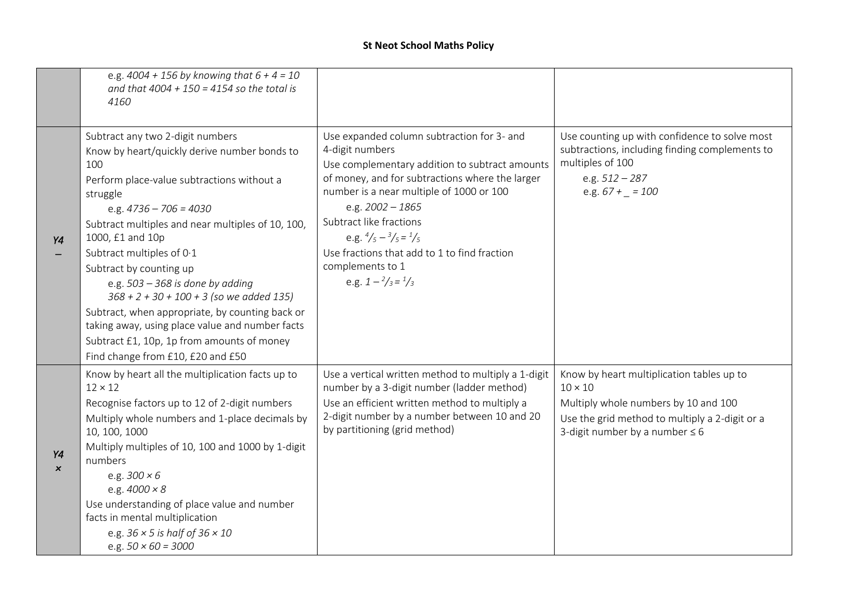|                                 | e.g. $4004 + 156$ by knowing that $6 + 4 = 10$<br>and that $4004 + 150 = 4154$ so the total is<br>4160                                                                                                                                                                                                                                                                                                                                                                                                                                                                                      |                                                                                                                                                                                                                                                                                                                                                                                                                               |                                                                                                                                                                                              |
|---------------------------------|---------------------------------------------------------------------------------------------------------------------------------------------------------------------------------------------------------------------------------------------------------------------------------------------------------------------------------------------------------------------------------------------------------------------------------------------------------------------------------------------------------------------------------------------------------------------------------------------|-------------------------------------------------------------------------------------------------------------------------------------------------------------------------------------------------------------------------------------------------------------------------------------------------------------------------------------------------------------------------------------------------------------------------------|----------------------------------------------------------------------------------------------------------------------------------------------------------------------------------------------|
| Y4                              | Subtract any two 2-digit numbers<br>Know by heart/quickly derive number bonds to<br>100<br>Perform place-value subtractions without a<br>struggle<br>e.g. $4736 - 706 = 4030$<br>Subtract multiples and near multiples of 10, 100,<br>1000, £1 and 10p<br>Subtract multiples of 0.1<br>Subtract by counting up<br>e.g. $503 - 368$ is done by adding<br>$368 + 2 + 30 + 100 + 3$ (so we added 135)<br>Subtract, when appropriate, by counting back or<br>taking away, using place value and number facts<br>Subtract £1, 10p, 1p from amounts of money<br>Find change from £10, £20 and £50 | Use expanded column subtraction for 3- and<br>4-digit numbers<br>Use complementary addition to subtract amounts<br>of money, and for subtractions where the larger<br>number is a near multiple of 1000 or 100<br>e.g. $2002 - 1865$<br>Subtract like fractions<br>e.g. $\frac{4}{5} - \frac{3}{5} = \frac{1}{5}$<br>Use fractions that add to 1 to find fraction<br>complements to 1<br>e.g. $1 - \frac{2}{3} = \frac{1}{3}$ | Use counting up with confidence to solve most<br>subtractions, including finding complements to<br>multiples of 100<br>e.g. $512 - 287$<br>e.g. $67 + - 100$                                 |
| Υ4<br>$\boldsymbol{\mathsf{x}}$ | Know by heart all the multiplication facts up to<br>$12 \times 12$<br>Recognise factors up to 12 of 2-digit numbers<br>Multiply whole numbers and 1-place decimals by<br>10, 100, 1000<br>Multiply multiples of 10, 100 and 1000 by 1-digit<br>numbers<br>e.g. $300 \times 6$<br>e.g. $4000 \times 8$<br>Use understanding of place value and number<br>facts in mental multiplication<br>e.g. $36 \times 5$ is half of $36 \times 10$<br>e.g. $50 \times 60 = 3000$                                                                                                                        | Use a vertical written method to multiply a 1-digit<br>number by a 3-digit number (ladder method)<br>Use an efficient written method to multiply a<br>2-digit number by a number between 10 and 20<br>by partitioning (grid method)                                                                                                                                                                                           | Know by heart multiplication tables up to<br>$10 \times 10$<br>Multiply whole numbers by 10 and 100<br>Use the grid method to multiply a 2-digit or a<br>3-digit number by a number $\leq 6$ |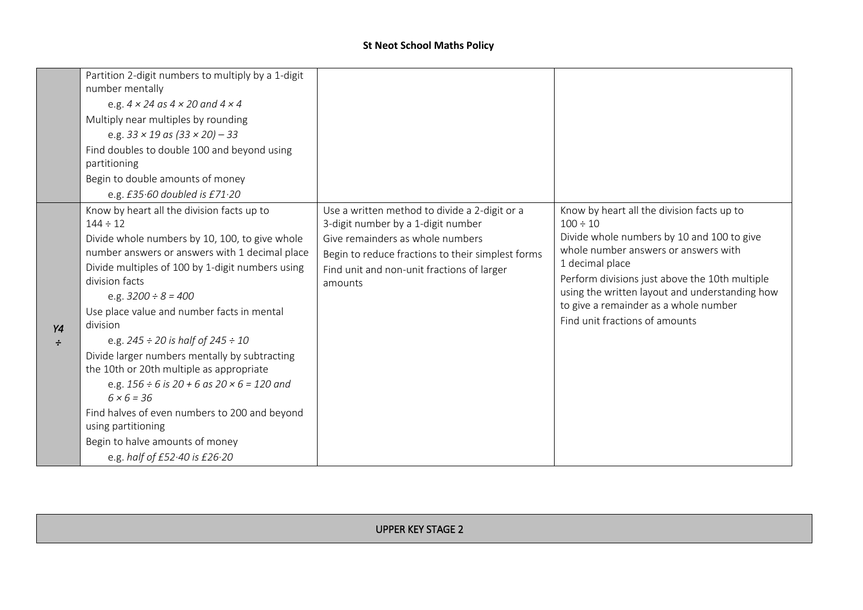|              | Partition 2-digit numbers to multiply by a 1-digit<br>number mentally<br>e.g. $4 \times 24$ as $4 \times 20$ and $4 \times 4$<br>Multiply near multiples by rounding<br>e.g. $33 \times 19$ as $(33 \times 20) - 33$<br>Find doubles to double 100 and beyond using<br>partitioning<br>Begin to double amounts of money<br>e.g. $£35.60$ doubled is $£71.20$                                                                                                                                                                                                                                                                                                                                            |                                                                                                                                                                                                                                       |                                                                                                                                                                                                                                                                                                                                                     |
|--------------|---------------------------------------------------------------------------------------------------------------------------------------------------------------------------------------------------------------------------------------------------------------------------------------------------------------------------------------------------------------------------------------------------------------------------------------------------------------------------------------------------------------------------------------------------------------------------------------------------------------------------------------------------------------------------------------------------------|---------------------------------------------------------------------------------------------------------------------------------------------------------------------------------------------------------------------------------------|-----------------------------------------------------------------------------------------------------------------------------------------------------------------------------------------------------------------------------------------------------------------------------------------------------------------------------------------------------|
| Y4<br>$\div$ | Know by heart all the division facts up to<br>$144 \div 12$<br>Divide whole numbers by 10, 100, to give whole<br>number answers or answers with 1 decimal place<br>Divide multiples of 100 by 1-digit numbers using<br>division facts<br>e.g. $3200 \div 8 = 400$<br>Use place value and number facts in mental<br>division<br>e.g. $245 \div 20$ is half of $245 \div 10$<br>Divide larger numbers mentally by subtracting<br>the 10th or 20th multiple as appropriate<br>e.g. $156 \div 6$ is $20 + 6$ as $20 \times 6 = 120$ and<br>$6 \times 6 = 36$<br>Find halves of even numbers to 200 and beyond<br>using partitioning<br>Begin to halve amounts of money<br>e.g. half of $E52.40$ is $E26.20$ | Use a written method to divide a 2-digit or a<br>3-digit number by a 1-digit number<br>Give remainders as whole numbers<br>Begin to reduce fractions to their simplest forms<br>Find unit and non-unit fractions of larger<br>amounts | Know by heart all the division facts up to<br>$100 \div 10$<br>Divide whole numbers by 10 and 100 to give<br>whole number answers or answers with<br>1 decimal place<br>Perform divisions just above the 10th multiple<br>using the written layout and understanding how<br>to give a remainder as a whole number<br>Find unit fractions of amounts |

UPPER KEY STAGE 2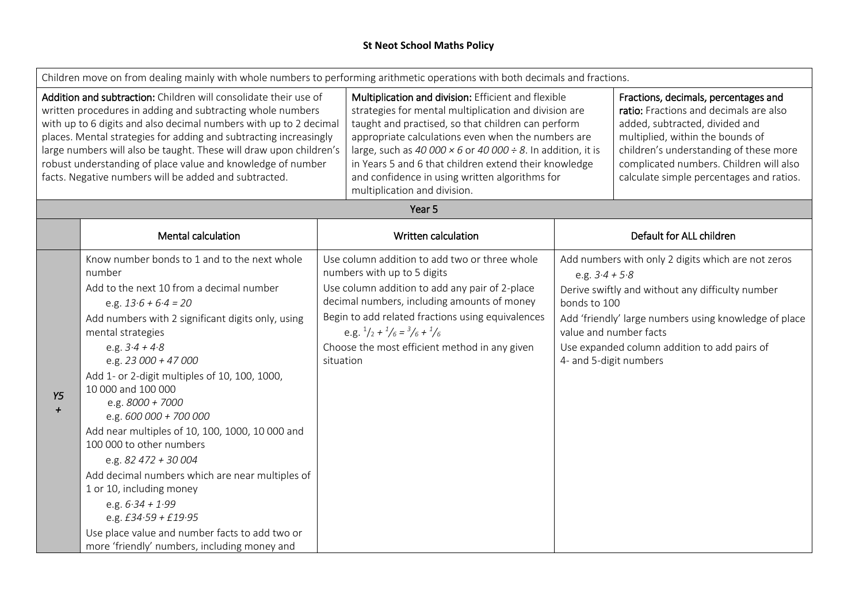|                                                                                                                                                                                                                                                                                                                                                                                                                                                                        | Children move on from dealing mainly with whole numbers to performing arithmetic operations with both decimals and fractions.                                                                                                                                                                                                                                                                                                                                                                                                                                                                                                                                                                                     |           |                                                                                                                                                                                                                                                                                                                                                                                                                                           |                                                                                      |                                                                                                                                                                                                                                                                                       |
|------------------------------------------------------------------------------------------------------------------------------------------------------------------------------------------------------------------------------------------------------------------------------------------------------------------------------------------------------------------------------------------------------------------------------------------------------------------------|-------------------------------------------------------------------------------------------------------------------------------------------------------------------------------------------------------------------------------------------------------------------------------------------------------------------------------------------------------------------------------------------------------------------------------------------------------------------------------------------------------------------------------------------------------------------------------------------------------------------------------------------------------------------------------------------------------------------|-----------|-------------------------------------------------------------------------------------------------------------------------------------------------------------------------------------------------------------------------------------------------------------------------------------------------------------------------------------------------------------------------------------------------------------------------------------------|--------------------------------------------------------------------------------------|---------------------------------------------------------------------------------------------------------------------------------------------------------------------------------------------------------------------------------------------------------------------------------------|
| Addition and subtraction: Children will consolidate their use of<br>written procedures in adding and subtracting whole numbers<br>with up to 6 digits and also decimal numbers with up to 2 decimal<br>places. Mental strategies for adding and subtracting increasingly<br>large numbers will also be taught. These will draw upon children's<br>robust understanding of place value and knowledge of number<br>facts. Negative numbers will be added and subtracted. |                                                                                                                                                                                                                                                                                                                                                                                                                                                                                                                                                                                                                                                                                                                   |           | Multiplication and division: Efficient and flexible<br>strategies for mental multiplication and division are<br>taught and practised, so that children can perform<br>appropriate calculations even when the numbers are<br>large, such as 40 000 $\times$ 6 or 40 000 ÷ 8. In addition, it is<br>in Years 5 and 6 that children extend their knowledge<br>and confidence in using written algorithms for<br>multiplication and division. |                                                                                      | Fractions, decimals, percentages and<br>ratio: Fractions and decimals are also<br>added, subtracted, divided and<br>multiplied, within the bounds of<br>children's understanding of these more<br>complicated numbers. Children will also<br>calculate simple percentages and ratios. |
|                                                                                                                                                                                                                                                                                                                                                                                                                                                                        |                                                                                                                                                                                                                                                                                                                                                                                                                                                                                                                                                                                                                                                                                                                   |           | Year 5                                                                                                                                                                                                                                                                                                                                                                                                                                    |                                                                                      |                                                                                                                                                                                                                                                                                       |
|                                                                                                                                                                                                                                                                                                                                                                                                                                                                        | Mental calculation                                                                                                                                                                                                                                                                                                                                                                                                                                                                                                                                                                                                                                                                                                |           | Written calculation                                                                                                                                                                                                                                                                                                                                                                                                                       |                                                                                      | Default for ALL children                                                                                                                                                                                                                                                              |
| Y5<br>$\div$                                                                                                                                                                                                                                                                                                                                                                                                                                                           | Know number bonds to 1 and to the next whole<br>number<br>Add to the next 10 from a decimal number<br>e.g. $13.6 + 6.4 = 20$<br>Add numbers with 2 significant digits only, using<br>mental strategies<br>e.g. $3.4 + 4.8$<br>e.g. $23000 + 47000$<br>Add 1- or 2-digit multiples of 10, 100, 1000,<br>10 000 and 100 000<br>e.g. $8000 + 7000$<br>e.g. $600000 + 700000$<br>Add near multiples of 10, 100, 1000, 10 000 and<br>100 000 to other numbers<br>e.g. 82 472 + 30 004<br>Add decimal numbers which are near multiples of<br>1 or 10, including money<br>e.g. $6.34 + 1.99$<br>e.g. $£34.59 + £19.95$<br>Use place value and number facts to add two or<br>more 'friendly' numbers, including money and | situation | Use column addition to add two or three whole<br>numbers with up to 5 digits<br>Use column addition to add any pair of 2-place<br>decimal numbers, including amounts of money<br>Begin to add related fractions using equivalences<br>e.g. $\frac{1}{2} + \frac{1}{6} = \frac{3}{6} + \frac{1}{6}$<br>Choose the most efficient method in any given                                                                                       | e.g. $3.4 + 5.8$<br>bonds to 100<br>value and number facts<br>4- and 5-digit numbers | Add numbers with only 2 digits which are not zeros<br>Derive swiftly and without any difficulty number<br>Add 'friendly' large numbers using knowledge of place<br>Use expanded column addition to add pairs of                                                                       |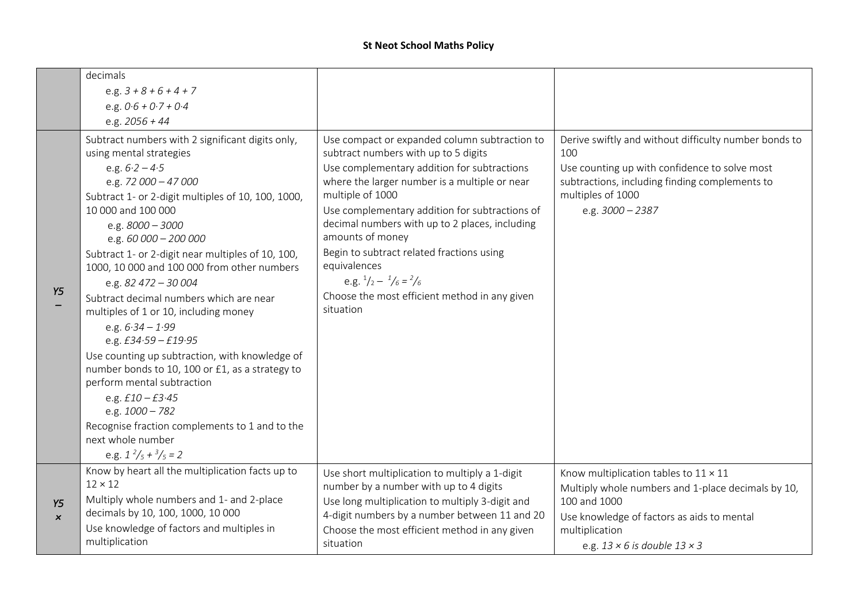|                                 | decimals<br>e.g. $3 + 8 + 6 + 4 + 7$<br>e.g. $0.6 + 0.7 + 0.4$                                                                                                                                                                                                                                                                                                                                                                                                                                                                                                                                                                                                                                                                                                                                                          |                                                                                                                                                                                                                                                                                                                                                                                                                                                                                                                |                                                                                                                                                                                                                                  |
|---------------------------------|-------------------------------------------------------------------------------------------------------------------------------------------------------------------------------------------------------------------------------------------------------------------------------------------------------------------------------------------------------------------------------------------------------------------------------------------------------------------------------------------------------------------------------------------------------------------------------------------------------------------------------------------------------------------------------------------------------------------------------------------------------------------------------------------------------------------------|----------------------------------------------------------------------------------------------------------------------------------------------------------------------------------------------------------------------------------------------------------------------------------------------------------------------------------------------------------------------------------------------------------------------------------------------------------------------------------------------------------------|----------------------------------------------------------------------------------------------------------------------------------------------------------------------------------------------------------------------------------|
|                                 | e.g. $2056 + 44$                                                                                                                                                                                                                                                                                                                                                                                                                                                                                                                                                                                                                                                                                                                                                                                                        |                                                                                                                                                                                                                                                                                                                                                                                                                                                                                                                |                                                                                                                                                                                                                                  |
| Y5                              | Subtract numbers with 2 significant digits only,<br>using mental strategies<br>e.g. $6.2 - 4.5$<br>e.g. $72000 - 47000$<br>Subtract 1- or 2-digit multiples of 10, 100, 1000,<br>10 000 and 100 000<br>e.g. $8000 - 3000$<br>e.g. $60000 - 200000$<br>Subtract 1- or 2-digit near multiples of 10, 100,<br>1000, 10 000 and 100 000 from other numbers<br>e.g. $82\,472 - 30\,004$<br>Subtract decimal numbers which are near<br>multiples of 1 or 10, including money<br>e.g. $6.34 - 1.99$<br>e.g. $£34.59 - £19.95$<br>Use counting up subtraction, with knowledge of<br>number bonds to 10, 100 or £1, as a strategy to<br>perform mental subtraction<br>e.g. $£10 - £3.45$<br>e.g. $1000 - 782$<br>Recognise fraction complements to 1 and to the<br>next whole number<br>e.g. $1^2/\frac{5}{5} + \frac{3}{5} = 2$ | Use compact or expanded column subtraction to<br>subtract numbers with up to 5 digits<br>Use complementary addition for subtractions<br>where the larger number is a multiple or near<br>multiple of 1000<br>Use complementary addition for subtractions of<br>decimal numbers with up to 2 places, including<br>amounts of money<br>Begin to subtract related fractions using<br>equivalences<br>e.g. $\frac{1}{2} - \frac{1}{6} = \frac{2}{6}$<br>Choose the most efficient method in any given<br>situation | Derive swiftly and without difficulty number bonds to<br>100<br>Use counting up with confidence to solve most<br>subtractions, including finding complements to<br>multiples of 1000<br>e.g. $3000 - 2387$                       |
| Y5<br>$\boldsymbol{\mathsf{x}}$ | Know by heart all the multiplication facts up to<br>$12 \times 12$<br>Multiply whole numbers and 1- and 2-place<br>decimals by 10, 100, 1000, 10 000<br>Use knowledge of factors and multiples in<br>multiplication                                                                                                                                                                                                                                                                                                                                                                                                                                                                                                                                                                                                     | Use short multiplication to multiply a 1-digit<br>number by a number with up to 4 digits<br>Use long multiplication to multiply 3-digit and<br>4-digit numbers by a number between 11 and 20<br>Choose the most efficient method in any given<br>situation                                                                                                                                                                                                                                                     | Know multiplication tables to $11 \times 11$<br>Multiply whole numbers and 1-place decimals by 10,<br>100 and 1000<br>Use knowledge of factors as aids to mental<br>multiplication<br>e.g. $13 \times 6$ is double $13 \times 3$ |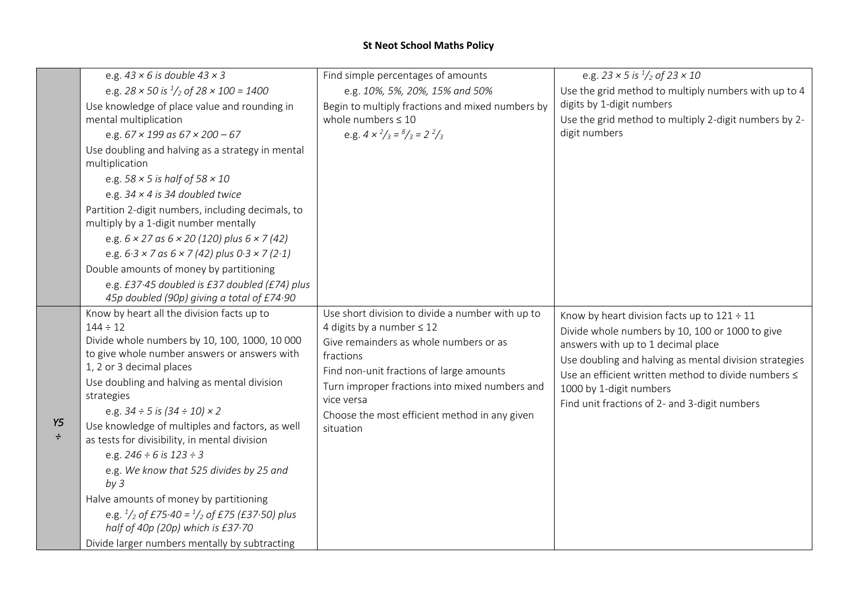|              | e.g. $43 \times 6$ is double $43 \times 3$                                                                                                                                                                                                                                                                                                                                                                                                    | Find simple percentages of amounts                                                                                                                                                                                                                                                                                  | e.g. $23 \times 5$ is $\frac{1}{2}$ of $23 \times 10$                                                                                                                                                                                                                                                                                  |
|--------------|-----------------------------------------------------------------------------------------------------------------------------------------------------------------------------------------------------------------------------------------------------------------------------------------------------------------------------------------------------------------------------------------------------------------------------------------------|---------------------------------------------------------------------------------------------------------------------------------------------------------------------------------------------------------------------------------------------------------------------------------------------------------------------|----------------------------------------------------------------------------------------------------------------------------------------------------------------------------------------------------------------------------------------------------------------------------------------------------------------------------------------|
|              | e.g. $28 \times 50$ is $\frac{1}{2}$ of $28 \times 100 = 1400$                                                                                                                                                                                                                                                                                                                                                                                | e.g. 10%, 5%, 20%, 15% and 50%                                                                                                                                                                                                                                                                                      | Use the grid method to multiply numbers with up to 4                                                                                                                                                                                                                                                                                   |
|              | Use knowledge of place value and rounding in                                                                                                                                                                                                                                                                                                                                                                                                  | Begin to multiply fractions and mixed numbers by                                                                                                                                                                                                                                                                    | digits by 1-digit numbers                                                                                                                                                                                                                                                                                                              |
|              | mental multiplication                                                                                                                                                                                                                                                                                                                                                                                                                         | whole numbers $\leq 10$                                                                                                                                                                                                                                                                                             | Use the grid method to multiply 2-digit numbers by 2-                                                                                                                                                                                                                                                                                  |
|              | e.g. $67 \times 199$ as $67 \times 200 - 67$                                                                                                                                                                                                                                                                                                                                                                                                  | e.g. $4 \times \frac{2}{3} = \frac{8}{3} = \frac{2}{3}$                                                                                                                                                                                                                                                             | digit numbers                                                                                                                                                                                                                                                                                                                          |
|              | Use doubling and halving as a strategy in mental<br>multiplication                                                                                                                                                                                                                                                                                                                                                                            |                                                                                                                                                                                                                                                                                                                     |                                                                                                                                                                                                                                                                                                                                        |
|              | e.g. $58 \times 5$ is half of $58 \times 10$                                                                                                                                                                                                                                                                                                                                                                                                  |                                                                                                                                                                                                                                                                                                                     |                                                                                                                                                                                                                                                                                                                                        |
|              | e.g. $34 \times 4$ is 34 doubled twice                                                                                                                                                                                                                                                                                                                                                                                                        |                                                                                                                                                                                                                                                                                                                     |                                                                                                                                                                                                                                                                                                                                        |
|              | Partition 2-digit numbers, including decimals, to<br>multiply by a 1-digit number mentally                                                                                                                                                                                                                                                                                                                                                    |                                                                                                                                                                                                                                                                                                                     |                                                                                                                                                                                                                                                                                                                                        |
|              | e.g. $6 \times 27$ as $6 \times 20$ (120) plus $6 \times 7$ (42)                                                                                                                                                                                                                                                                                                                                                                              |                                                                                                                                                                                                                                                                                                                     |                                                                                                                                                                                                                                                                                                                                        |
|              | e.g. $6.3 \times 7$ as $6 \times 7$ (42) plus $0.3 \times 7$ (2.1)                                                                                                                                                                                                                                                                                                                                                                            |                                                                                                                                                                                                                                                                                                                     |                                                                                                                                                                                                                                                                                                                                        |
|              | Double amounts of money by partitioning                                                                                                                                                                                                                                                                                                                                                                                                       |                                                                                                                                                                                                                                                                                                                     |                                                                                                                                                                                                                                                                                                                                        |
|              | e.g. £37.45 doubled is £37 doubled (£74) plus                                                                                                                                                                                                                                                                                                                                                                                                 |                                                                                                                                                                                                                                                                                                                     |                                                                                                                                                                                                                                                                                                                                        |
|              | 45p doubled (90p) giving a total of £74.90                                                                                                                                                                                                                                                                                                                                                                                                    |                                                                                                                                                                                                                                                                                                                     |                                                                                                                                                                                                                                                                                                                                        |
| Y5<br>$\div$ | Know by heart all the division facts up to<br>$144 \div 12$<br>Divide whole numbers by 10, 100, 1000, 10 000<br>to give whole number answers or answers with<br>1, 2 or 3 decimal places<br>Use doubling and halving as mental division<br>strategies<br>e.g. $34 \div 5$ is $(34 \div 10) \times 2$<br>Use knowledge of multiples and factors, as well<br>as tests for divisibility, in mental division<br>e.g. $246 \div 6$ is $123 \div 3$ | Use short division to divide a number with up to<br>4 digits by a number $\leq 12$<br>Give remainders as whole numbers or as<br>fractions<br>Find non-unit fractions of large amounts<br>Turn improper fractions into mixed numbers and<br>vice versa<br>Choose the most efficient method in any given<br>situation | Know by heart division facts up to $121 \div 11$<br>Divide whole numbers by 10, 100 or 1000 to give<br>answers with up to 1 decimal place<br>Use doubling and halving as mental division strategies<br>Use an efficient written method to divide numbers ≤<br>1000 by 1-digit numbers<br>Find unit fractions of 2- and 3-digit numbers |
|              | e.g. We know that 525 divides by 25 and<br>by <sub>3</sub><br>Halve amounts of money by partitioning<br>e.g. $\frac{1}{2}$ of £75.40 = $\frac{1}{2}$ of £75 (£37.50) plus<br>half of 40p (20p) which is £37.70<br>Divide larger numbers mentally by subtracting                                                                                                                                                                               |                                                                                                                                                                                                                                                                                                                     |                                                                                                                                                                                                                                                                                                                                        |
|              |                                                                                                                                                                                                                                                                                                                                                                                                                                               |                                                                                                                                                                                                                                                                                                                     |                                                                                                                                                                                                                                                                                                                                        |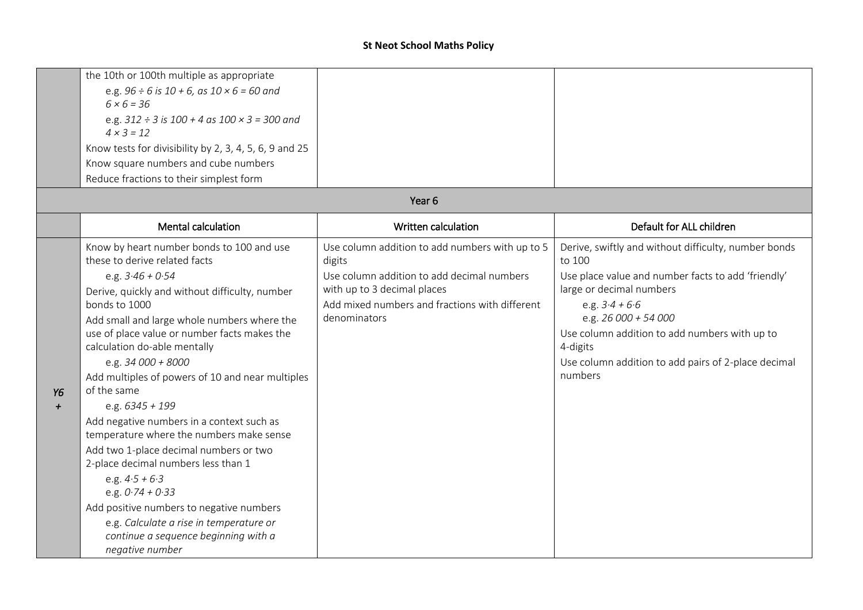|           | the 10th or 100th multiple as appropriate                                  |                                                      |                                                                                |
|-----------|----------------------------------------------------------------------------|------------------------------------------------------|--------------------------------------------------------------------------------|
|           | e.g. $96 \div 6$ is $10 + 6$ , as $10 \times 6 = 60$ and                   |                                                      |                                                                                |
|           | $6 \times 6 = 36$                                                          |                                                      |                                                                                |
|           | e.g. $312 \div 3$ is $100 + 4$ as $100 \times 3 = 300$ and                 |                                                      |                                                                                |
|           | $4 \times 3 = 12$                                                          |                                                      |                                                                                |
|           | Know tests for divisibility by 2, 3, 4, 5, 6, 9 and 25                     |                                                      |                                                                                |
|           | Know square numbers and cube numbers                                       |                                                      |                                                                                |
|           | Reduce fractions to their simplest form                                    |                                                      |                                                                                |
|           |                                                                            | Year <sub>6</sub>                                    |                                                                                |
|           | <b>Mental calculation</b>                                                  | Written calculation                                  | Default for ALL children                                                       |
|           | Know by heart number bonds to 100 and use<br>these to derive related facts | Use column addition to add numbers with up to 5      | Derive, swiftly and without difficulty, number bonds                           |
|           |                                                                            | digits<br>Use column addition to add decimal numbers | to 100                                                                         |
|           | e.g. $3.46 + 0.54$                                                         | with up to 3 decimal places                          | Use place value and number facts to add 'friendly'<br>large or decimal numbers |
|           | Derive, quickly and without difficulty, number<br>bonds to 1000            | Add mixed numbers and fractions with different       | e.g. $3.4 + 6.6$                                                               |
|           | Add small and large whole numbers where the                                | denominators                                         | e.g. 26 000 + 54 000                                                           |
|           | use of place value or number facts makes the                               |                                                      | Use column addition to add numbers with up to                                  |
|           | calculation do-able mentally                                               |                                                      | 4-digits                                                                       |
|           | e.g. 34 000 + 8000                                                         |                                                      | Use column addition to add pairs of 2-place decimal                            |
|           | Add multiples of powers of 10 and near multiples                           |                                                      | numbers                                                                        |
| Y6        | of the same                                                                |                                                      |                                                                                |
| $\ddot{}$ | e.g. $6345 + 199$                                                          |                                                      |                                                                                |
|           | Add negative numbers in a context such as                                  |                                                      |                                                                                |
|           | temperature where the numbers make sense                                   |                                                      |                                                                                |
|           | Add two 1-place decimal numbers or two                                     |                                                      |                                                                                |
|           | 2-place decimal numbers less than 1                                        |                                                      |                                                                                |
|           | e.g. $4.5 + 6.3$<br>e.g. $0.74 + 0.33$                                     |                                                      |                                                                                |
|           | Add positive numbers to negative numbers                                   |                                                      |                                                                                |
|           | e.g. Calculate a rise in temperature or                                    |                                                      |                                                                                |
|           | continue a sequence beginning with a                                       |                                                      |                                                                                |
|           | negative number                                                            |                                                      |                                                                                |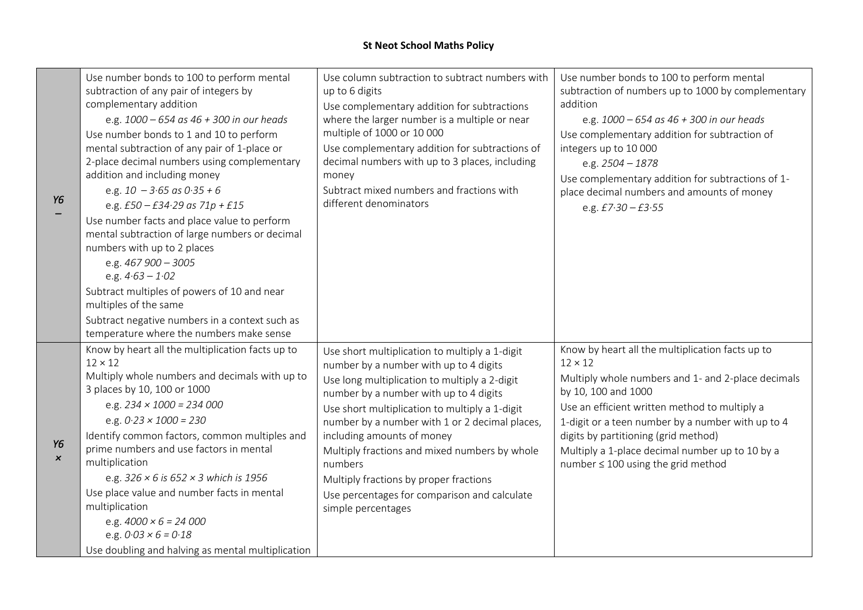| Y6                              | Use number bonds to 100 to perform mental<br>subtraction of any pair of integers by<br>complementary addition<br>e.g. $1000 - 654$ as $46 + 300$ in our heads<br>Use number bonds to 1 and 10 to perform<br>mental subtraction of any pair of 1-place or<br>2-place decimal numbers using complementary<br>addition and including money<br>e.g. $10 - 3.65$ as $0.35 + 6$<br>e.g. $£50 - £34.29$ as $71p + £15$<br>Use number facts and place value to perform<br>mental subtraction of large numbers or decimal<br>numbers with up to 2 places<br>e.g. 467 900 - 3005<br>e.g. $4.63 - 1.02$<br>Subtract multiples of powers of 10 and near<br>multiples of the same<br>Subtract negative numbers in a context such as<br>temperature where the numbers make sense | Use column subtraction to subtract numbers with<br>up to 6 digits<br>Use complementary addition for subtractions<br>where the larger number is a multiple or near<br>multiple of 1000 or 10 000<br>Use complementary addition for subtractions of<br>decimal numbers with up to 3 places, including<br>money<br>Subtract mixed numbers and fractions with<br>different denominators                                                                                                               | Use number bonds to 100 to perform mental<br>subtraction of numbers up to 1000 by complementary<br>addition<br>e.g. $1000 - 654$ as $46 + 300$ in our heads<br>Use complementary addition for subtraction of<br>integers up to 10 000<br>e.g. 2504 - 1878<br>Use complementary addition for subtractions of 1-<br>place decimal numbers and amounts of money<br>e.g. $£7.30 - £3.55$   |
|---------------------------------|--------------------------------------------------------------------------------------------------------------------------------------------------------------------------------------------------------------------------------------------------------------------------------------------------------------------------------------------------------------------------------------------------------------------------------------------------------------------------------------------------------------------------------------------------------------------------------------------------------------------------------------------------------------------------------------------------------------------------------------------------------------------|---------------------------------------------------------------------------------------------------------------------------------------------------------------------------------------------------------------------------------------------------------------------------------------------------------------------------------------------------------------------------------------------------------------------------------------------------------------------------------------------------|----------------------------------------------------------------------------------------------------------------------------------------------------------------------------------------------------------------------------------------------------------------------------------------------------------------------------------------------------------------------------------------|
| Υ6<br>$\boldsymbol{\mathsf{x}}$ | Know by heart all the multiplication facts up to<br>$12 \times 12$<br>Multiply whole numbers and decimals with up to<br>3 places by 10, 100 or 1000<br>e.g. $234 \times 1000 = 234000$<br>e.g. $0.23 \times 1000 = 230$<br>Identify common factors, common multiples and<br>prime numbers and use factors in mental<br>multiplication<br>e.g. $326 \times 6$ is $652 \times 3$ which is 1956<br>Use place value and number facts in mental<br>multiplication<br>e.g. $4000 \times 6 = 24000$<br>e.g. $0.03 \times 6 = 0.18$<br>Use doubling and halving as mental multiplication                                                                                                                                                                                   | Use short multiplication to multiply a 1-digit<br>number by a number with up to 4 digits<br>Use long multiplication to multiply a 2-digit<br>number by a number with up to 4 digits<br>Use short multiplication to multiply a 1-digit<br>number by a number with 1 or 2 decimal places,<br>including amounts of money<br>Multiply fractions and mixed numbers by whole<br>numbers<br>Multiply fractions by proper fractions<br>Use percentages for comparison and calculate<br>simple percentages | Know by heart all the multiplication facts up to<br>$12 \times 12$<br>Multiply whole numbers and 1- and 2-place decimals<br>by 10, 100 and 1000<br>Use an efficient written method to multiply a<br>1-digit or a teen number by a number with up to 4<br>digits by partitioning (grid method)<br>Multiply a 1-place decimal number up to 10 by a<br>number ≤ 100 using the grid method |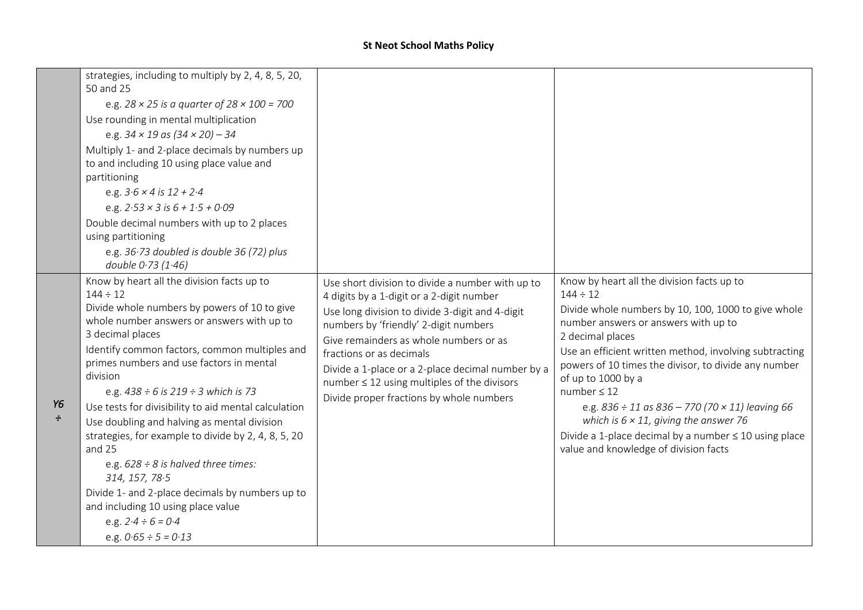|              | e.g. $28 \times 25$ is a quarter of $28 \times 100 = 700$<br>Use rounding in mental multiplication<br>e.g. $34 \times 19$ as $(34 \times 20) - 34$<br>Multiply 1- and 2-place decimals by numbers up<br>to and including 10 using place value and<br>partitioning<br>e.g. $3.6 \times 4$ is $12 + 2.4$<br>e.g. $2.53 \times 3$ is $6 + 1.5 + 0.09$<br>Double decimal numbers with up to 2 places<br>using partitioning<br>e.g. 36.73 doubled is double 36 (72) plus<br>double 0.73 (1.46)<br>Know by heart all the division facts up to<br>$144 \div 12$                                                                                                        | Use short division to divide a number with up to<br>4 digits by a 1-digit or a 2-digit number                                                                                                                                                                                                                       | Know by heart all the division facts up to<br>$144 \div 12$                                                                                                                                                                                                                                                                                                                                                                                                                                          |
|--------------|-----------------------------------------------------------------------------------------------------------------------------------------------------------------------------------------------------------------------------------------------------------------------------------------------------------------------------------------------------------------------------------------------------------------------------------------------------------------------------------------------------------------------------------------------------------------------------------------------------------------------------------------------------------------|---------------------------------------------------------------------------------------------------------------------------------------------------------------------------------------------------------------------------------------------------------------------------------------------------------------------|------------------------------------------------------------------------------------------------------------------------------------------------------------------------------------------------------------------------------------------------------------------------------------------------------------------------------------------------------------------------------------------------------------------------------------------------------------------------------------------------------|
| Υ6<br>$\div$ | Divide whole numbers by powers of 10 to give<br>whole number answers or answers with up to<br>3 decimal places<br>Identify common factors, common multiples and<br>primes numbers and use factors in mental<br>division<br>e.g. $438 \div 6$ is $219 \div 3$ which is 73<br>Use tests for divisibility to aid mental calculation<br>Use doubling and halving as mental division<br>strategies, for example to divide by 2, 4, 8, 5, 20<br>and 25<br>e.g. $628 \div 8$ is halved three times:<br>314, 157, 78.5<br>Divide 1- and 2-place decimals by numbers up to<br>and including 10 using place value<br>e.g. $2.4 \div 6 = 0.4$<br>e.g. $0.65 \div 5 = 0.13$ | Use long division to divide 3-digit and 4-digit<br>numbers by 'friendly' 2-digit numbers<br>Give remainders as whole numbers or as<br>fractions or as decimals<br>Divide a 1-place or a 2-place decimal number by a<br>number $\leq$ 12 using multiples of the divisors<br>Divide proper fractions by whole numbers | Divide whole numbers by 10, 100, 1000 to give whole<br>number answers or answers with up to<br>2 decimal places<br>Use an efficient written method, involving subtracting<br>powers of 10 times the divisor, to divide any number<br>of up to 1000 by a<br>number $\leq 12$<br>e.g. $836 \div 11$ as $836 - 770$ (70 $\times$ 11) leaving 66<br>which is $6 \times 11$ , giving the answer 76<br>Divide a 1-place decimal by a number $\leq 10$ using place<br>value and knowledge of division facts |